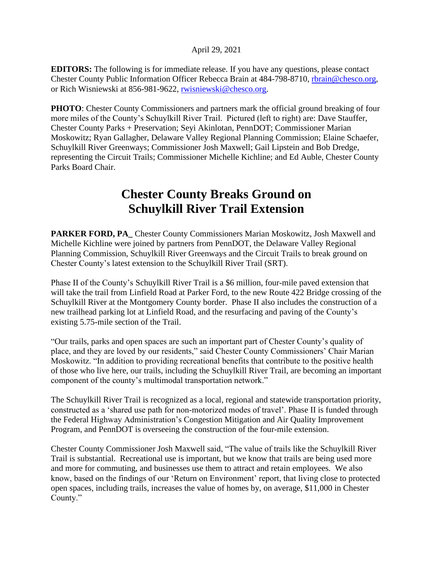**EDITORS:** The following is for immediate release. If you have any questions, please contact Chester County Public Information Officer Rebecca Brain at 484-798-8710, [rbrain@chesco.org,](mailto:rbrain@chesco.org) or Rich Wisniewski at 856-981-9622, [rwisniewski@chesco.org.](mailto:rwisniewski@chesco.org)

**PHOTO**: Chester County Commissioners and partners mark the official ground breaking of four more miles of the County's Schuylkill River Trail. Pictured (left to right) are: Dave Stauffer, Chester County Parks + Preservation; Seyi Akinlotan, PennDOT; Commissioner Marian Moskowitz; Ryan Gallagher, Delaware Valley Regional Planning Commission; Elaine Schaefer, Schuylkill River Greenways; Commissioner Josh Maxwell; Gail Lipstein and Bob Dredge, representing the Circuit Trails; Commissioner Michelle Kichline; and Ed Auble, Chester County Parks Board Chair.

## **Chester County Breaks Ground on Schuylkill River Trail Extension**

**PARKER FORD, PA\_** Chester County Commissioners Marian Moskowitz, Josh Maxwell and Michelle Kichline were joined by partners from PennDOT, the Delaware Valley Regional Planning Commission, Schuylkill River Greenways and the Circuit Trails to break ground on Chester County's latest extension to the Schuylkill River Trail (SRT).

Phase II of the County's Schuylkill River Trail is a \$6 million, four-mile paved extension that will take the trail from Linfield Road at Parker Ford, to the new Route 422 Bridge crossing of the Schuylkill River at the Montgomery County border. Phase II also includes the construction of a new trailhead parking lot at Linfield Road, and the resurfacing and paving of the County's existing 5.75-mile section of the Trail.

"Our trails, parks and open spaces are such an important part of Chester County's quality of place, and they are loved by our residents," said Chester County Commissioners' Chair Marian Moskowitz. "In addition to providing recreational benefits that contribute to the positive health of those who live here, our trails, including the Schuylkill River Trail, are becoming an important component of the county's multimodal transportation network."

The Schuylkill River Trail is recognized as a local, regional and statewide transportation priority, constructed as a 'shared use path for non-motorized modes of travel'. Phase II is funded through the Federal Highway Administration's Congestion Mitigation and Air Quality Improvement Program, and PennDOT is overseeing the construction of the four-mile extension.

Chester County Commissioner Josh Maxwell said, "The value of trails like the Schuylkill River Trail is substantial. Recreational use is important, but we know that trails are being used more and more for commuting, and businesses use them to attract and retain employees. We also know, based on the findings of our 'Return on Environment' report, that living close to protected open spaces, including trails, increases the value of homes by, on average, \$11,000 in Chester County."